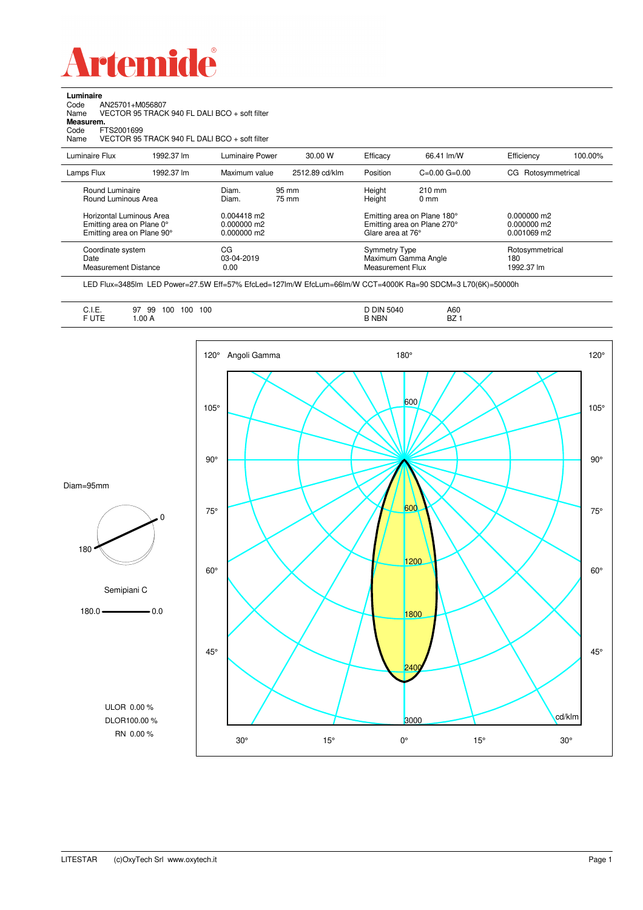

**Luminaire**

| AN25701+M056807<br>Code<br>Name<br>Measurem.<br>Code<br>FTS2001699<br>Name          | VECTOR 95 TRACK 940 FL DALI BCO + soft filter<br>VECTOR 95 TRACK 940 FL DALI BCO + soft filter |                                           |                |                                                 |                                                            |                                               |         |
|-------------------------------------------------------------------------------------|------------------------------------------------------------------------------------------------|-------------------------------------------|----------------|-------------------------------------------------|------------------------------------------------------------|-----------------------------------------------|---------|
| Luminaire Flux                                                                      | 1992.37 lm                                                                                     | Luminaire Power                           | 30.00 W        | Efficacy                                        | 66.41 lm/W                                                 | Efficiency                                    | 100.00% |
| Lamps Flux                                                                          | 1992.37 lm                                                                                     | Maximum value                             | 2512.89 cd/klm | Position                                        | $C=0.00$ $G=0.00$                                          | CG Rotosymmetrical                            |         |
| Round Luminaire<br>Round Luminous Area                                              |                                                                                                | Diam.<br>Diam.                            | 95 mm<br>75 mm | Height<br>Height                                | $210 \text{ mm}$<br>$0 \text{ mm}$                         |                                               |         |
| Horizontal Luminous Area<br>Emitting area on Plane 0°<br>Emitting area on Plane 90° |                                                                                                | 0.004418 m2<br>0.000000 m2<br>0.000000 m2 |                | Glare area at 76°                               | Emitting area on Plane 180°<br>Emitting area on Plane 270° | $0.000000$ m2<br>$0.000000$ m2<br>0.001069 m2 |         |
| Coordinate system<br>Date<br><b>Measurement Distance</b>                            |                                                                                                | CG<br>03-04-2019<br>0.00                  |                | <b>Symmetry Type</b><br><b>Measurement Flux</b> | Maximum Gamma Angle                                        | Rotosymmetrical<br>180<br>1992.37 lm          |         |

LED Flux=3485lm LED Power=27.5W Eff=57% EfcLed=127lm/W EfcLum=66lm/W CCT=4000K Ra=90 SDCM=3 L70(6K)=50000h

|--|